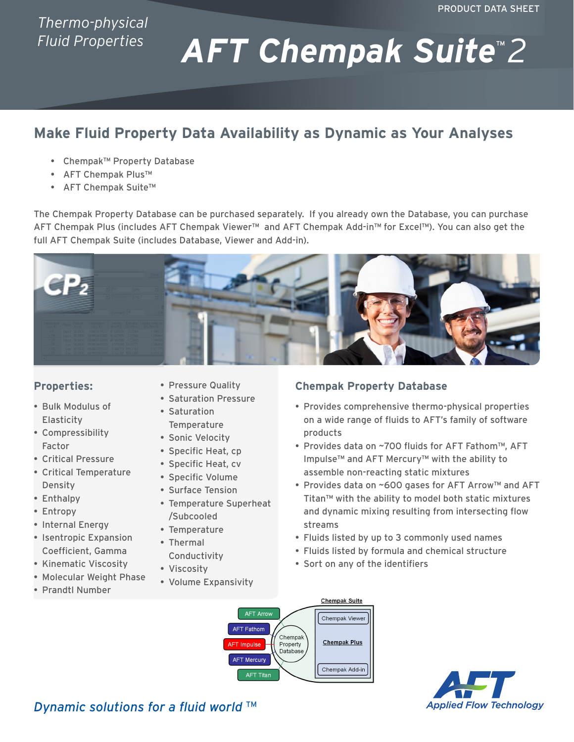# *Thermo-physical Fluid Properties*

# *AFT Chempak Suite*™ *2*

# **Make Fluid Property Data Availability as Dynamic as Your Analyses**

- Chempak™ Property Database
- AFT Chempak Plus™
- AFT Chempak Suite™

The Chempak Property Database can be purchased separately. If you already own the Database, you can purchase AFT Chempak Plus (includes AFT Chempak Viewer™ and AFT Chempak Add-in™ for Excel™). You can also get the full AFT Chempak Suite (includes Database, Viewer and Add-in).



#### **Properties:**

- • Bulk Modulus of **Elasticity**
- • Compressibility Factor
- • Critical Pressure
- • Critical Temperature Density
- Enthalpy
- • Entropy
- Internal Energy
- • Isentropic Expansion Coefficient, Gamma
- • Kinematic Viscosity
- • Molecular Weight Phase
- • Prandtl Number
- Pressure Quality
- • Saturation Pressure
- • Saturation **Temperature**
- Sonic Velocity
- Specific Heat, cp
- Specific Heat, cv
- Specific Volume
- Surface Tension
- Temperature Superheat /Subcooled
- Temperature
- Thermal Conductivity
- Viscosity
- Volume Expansivity

## **Chempak Property Database**

- Provides comprehensive thermo-physical properties on a wide range of fluids to AFT's family of software products
- Provides data on ~700 fluids for AFT Fathom™, AFT Impulse™ and AFT Mercury™ with the ability to assemble non-reacting static mixtures
- Provides data on ~600 gases for AFT Arrow™ and AFT Titan™ with the ability to model both static mixtures and dynamic mixing resulting from intersecting flow streams
- Fluids listed by up to 3 commonly used names
- Fluids listed by formula and chemical structure
- Sort on any of the identifiers





**Dynamic solutions for a fluid world** ™